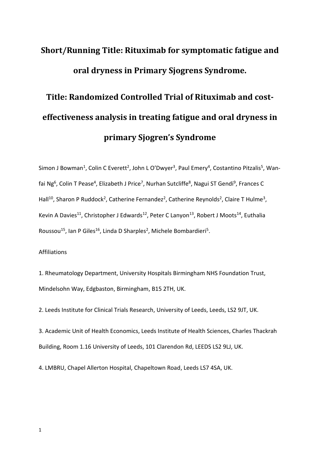## **Short/Running Title: Rituximab for symptomatic fatigue and oral dryness in Primary Sjogrens Syndrome.**

# **Title: Randomized Controlled Trial of Rituximab and costeffectiveness analysis in treating fatigue and oral dryness in primary Sjogren's Syndrome**

Simon J Bowman<sup>1</sup>, Colin C Everett<sup>2</sup>, John L O'Dwyer<sup>3</sup>, Paul Emery<sup>4</sup>, Costantino Pitzalis<sup>5</sup>, Wanfai Ng<sup>6</sup>, Colin T Pease<sup>4</sup>, Elizabeth J Price<sup>7</sup>, Nurhan Sutcliffe<sup>8</sup>, Nagui ST Gendi<sup>9</sup>, Frances C Hall<sup>10</sup>, Sharon P Ruddock<sup>2</sup>, Catherine Fernandez<sup>2</sup>, Catherine Reynolds<sup>2</sup>, Claire T Hulme<sup>3</sup>, Kevin A Davies<sup>11</sup>, Christopher J Edwards<sup>12</sup>, Peter C Lanyon<sup>13</sup>, Robert J Moots<sup>14</sup>, Euthalia Roussou<sup>15</sup>, Ian P Giles<sup>16</sup>, Linda D Sharples<sup>2</sup>, Michele Bombardieri<sup>5</sup>.

#### Affiliations

1. Rheumatology Department, University Hospitals Birmingham NHS Foundation Trust, Mindelsohn Way, Edgbaston, Birmingham, B15 2TH, UK.

2. Leeds Institute for Clinical Trials Research, University of Leeds, Leeds, LS2 9JT, UK.

3. Academic Unit of Health Economics, Leeds Institute of Health Sciences, Charles Thackrah Building, Room 1.16 University of Leeds, 101 Clarendon Rd, LEEDS LS2 9LJ, UK.

4. LMBRU, Chapel Allerton Hospital, Chapeltown Road, Leeds LS7 4SA, UK.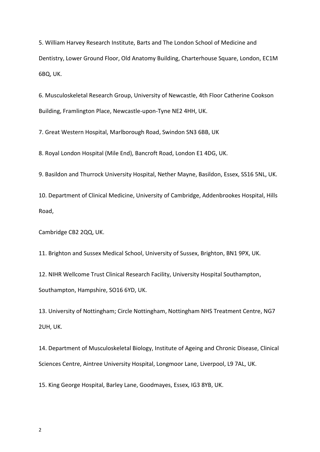5. William Harvey Research Institute, Barts and The London School of Medicine and Dentistry, Lower Ground Floor, Old Anatomy Building, Charterhouse Square, London, EC1M 6BQ, UK.

6. Musculoskeletal Research Group, University of Newcastle, 4th Floor Catherine Cookson Building, Framlington Place, Newcastle-upon-Tyne NE2 4HH, UK.

7. Great Western Hospital, Marlborough Road, Swindon SN3 6BB, UK

8. Royal London Hospital (Mile End), Bancroft Road, London E1 4DG, UK.

9. Basildon and Thurrock University Hospital, Nether Mayne, Basildon, Essex, SS16 5NL, UK.

10. Department of Clinical Medicine, University of Cambridge, Addenbrookes Hospital, Hills Road,

Cambridge CB2 2QQ, UK.

11. Brighton and Sussex Medical School, University of Sussex, Brighton, BN1 9PX, UK.

12. NIHR Wellcome Trust Clinical Research Facility, University Hospital Southampton, Southampton, Hampshire, SO16 6YD, UK.

13. University of Nottingham; Circle Nottingham, Nottingham NHS Treatment Centre, NG7 2UH, UK.

14. Department of Musculoskeletal Biology, Institute of Ageing and Chronic Disease, Clinical Sciences Centre, Aintree University Hospital, Longmoor Lane, Liverpool, L9 7AL, UK.

15. King George Hospital, Barley Lane, Goodmayes, Essex, IG3 8YB, UK.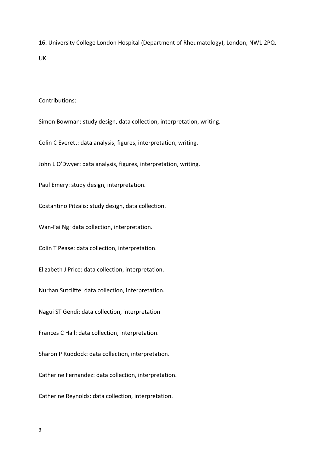16. University College London Hospital (Department of Rheumatology), London, NW1 2PQ, UK.

Contributions:

Simon Bowman: study design, data collection, interpretation, writing.

Colin C Everett: data analysis, figures, interpretation, writing.

John L O'Dwyer: data analysis, figures, interpretation, writing.

Paul Emery: study design, interpretation.

Costantino Pitzalis: study design, data collection.

Wan-Fai Ng: data collection, interpretation.

Colin T Pease: data collection, interpretation.

Elizabeth J Price: data collection, interpretation.

Nurhan Sutcliffe: data collection, interpretation.

Nagui ST Gendi: data collection, interpretation

Frances C Hall: data collection, interpretation.

Sharon P Ruddock: data collection, interpretation.

Catherine Fernandez: data collection, interpretation.

Catherine Reynolds: data collection, interpretation.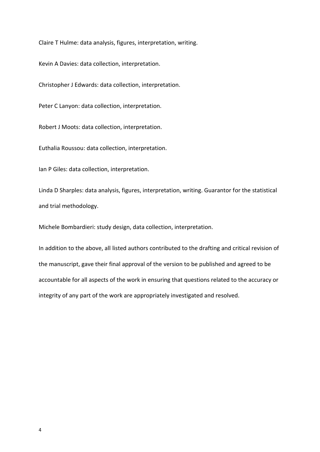Claire T Hulme: data analysis, figures, interpretation, writing.

Kevin A Davies: data collection, interpretation.

Christopher J Edwards: data collection, interpretation.

Peter C Lanyon: data collection, interpretation.

Robert J Moots: data collection, interpretation.

Euthalia Roussou: data collection, interpretation.

Ian P Giles: data collection, interpretation.

Linda D Sharples: data analysis, figures, interpretation, writing. Guarantor for the statistical and trial methodology.

Michele Bombardieri: study design, data collection, interpretation.

In addition to the above, all listed authors contributed to the drafting and critical revision of the manuscript, gave their final approval of the version to be published and agreed to be accountable for all aspects of the work in ensuring that questions related to the accuracy or integrity of any part of the work are appropriately investigated and resolved.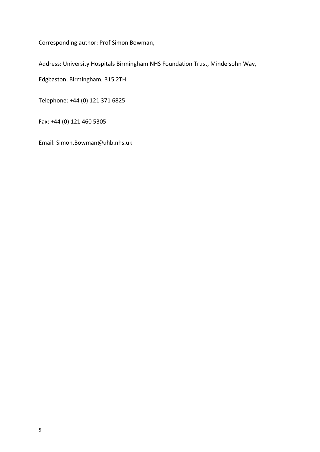Corresponding author: Prof Simon Bowman,

Address: University Hospitals Birmingham NHS Foundation Trust, Mindelsohn Way,

Edgbaston, Birmingham, B15 2TH.

Telephone: +44 (0) 121 371 6825

Fax: +44 (0) 121 460 5305

Email: Simon.Bowman@uhb.nhs.uk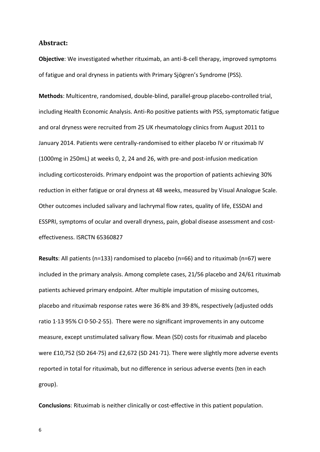#### **Abstract:**

**Objective**: We investigated whether rituximab, an anti-B-cell therapy, improved symptoms of fatigue and oral dryness in patients with Primary Sjögren's Syndrome (PSS).

**Methods**: Multicentre, randomised, double-blind, parallel-group placebo-controlled trial, including Health Economic Analysis. Anti-Ro positive patients with PSS, symptomatic fatigue and oral dryness were recruited from 25 UK rheumatology clinics from August 2011 to January 2014. Patients were centrally-randomised to either placebo IV or rituximab IV (1000mg in 250mL) at weeks 0, 2, 24 and 26, with pre-and post-infusion medication including corticosteroids. Primary endpoint was the proportion of patients achieving 30% reduction in either fatigue or oral dryness at 48 weeks, measured by Visual Analogue Scale. Other outcomes included salivary and lachrymal flow rates, quality of life, ESSDAI and ESSPRI, symptoms of ocular and overall dryness, pain, global disease assessment and costeffectiveness. ISRCTN 65360827

**Results**: All patients (n=133) randomised to placebo (n=66) and to rituximab (n=67) were included in the primary analysis. Among complete cases, 21/56 placebo and 24/61 rituximab patients achieved primary endpoint. After multiple imputation of missing outcomes, placebo and rituximab response rates were 36·8% and 39·8%, respectively (adjusted odds ratio 1·13 95% CI 0·50-2·55). There were no significant improvements in any outcome measure, except unstimulated salivary flow. Mean (SD) costs for rituximab and placebo were £10,752 (SD 264·75) and £2,672 (SD 241·71). There were slightly more adverse events reported in total for rituximab, but no difference in serious adverse events (ten in each group).

**Conclusions**: Rituximab is neither clinically or cost-effective in this patient population.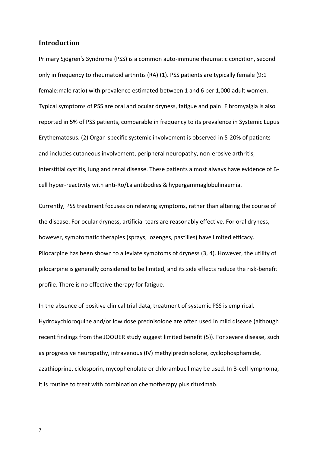#### **Introduction**

Primary Sjögren's Syndrome (PSS) is a common auto-immune rheumatic condition, second only in frequency to rheumatoid arthritis (RA) (1). PSS patients are typically female (9:1 female:male ratio) with prevalence estimated between 1 and 6 per 1,000 adult women. Typical symptoms of PSS are oral and ocular dryness, fatigue and pain. Fibromyalgia is also reported in 5% of PSS patients, comparable in frequency to its prevalence in Systemic Lupus Erythematosus. (2) Organ-specific systemic involvement is observed in 5-20% of patients and includes cutaneous involvement, peripheral neuropathy, non-erosive arthritis, interstitial cystitis, lung and renal disease. These patients almost always have evidence of Bcell hyper-reactivity with anti-Ro/La antibodies & hypergammaglobulinaemia.

Currently, PSS treatment focuses on relieving symptoms, rather than altering the course of the disease. For ocular dryness, artificial tears are reasonably effective. For oral dryness, however, symptomatic therapies (sprays, lozenges, pastilles) have limited efficacy. Pilocarpine has been shown to alleviate symptoms of dryness (3, 4). However, the utility of pilocarpine is generally considered to be limited, and its side effects reduce the risk-benefit profile. There is no effective therapy for fatigue.

In the absence of positive clinical trial data, treatment of systemic PSS is empirical. Hydroxychloroquine and/or low dose prednisolone are often used in mild disease (although recent findings from the JOQUER study suggest limited benefit (5)). For severe disease, such as progressive neuropathy, intravenous (IV) methylprednisolone, cyclophosphamide, azathioprine, ciclosporin, mycophenolate or chlorambucil may be used. In B-cell lymphoma, it is routine to treat with combination chemotherapy plus rituximab.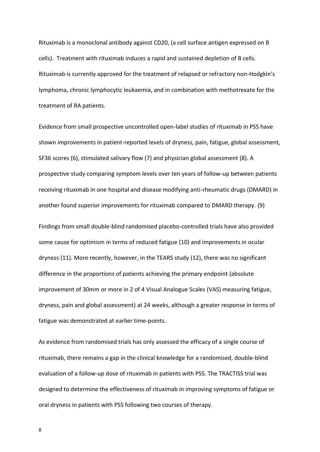Rituximab is a monoclonal antibody against CD20, (a cell surface antigen expressed on B cells). Treatment with rituximab induces a rapid and sustained depletion of B cells. Rituximab is currently approved for the treatment of relapsed or refractory non-Hodgkin's lymphoma, chronic lymphocytic leukaemia, and in combination with methotrexate for the treatment of RA patients.

Evidence from small prospective uncontrolled open-label studies of rituximab in PSS have shown improvements in patient-reported levels of dryness, pain, fatigue, global assessment, SF36 scores (6), stimulated salivary flow (7) and physician global assessment (8). A prospective study comparing symptom levels over ten years of follow-up between patients receiving rituximab in one hospital and disease modifying anti-rheumatic drugs (DMARD) in another found superior improvements for rituximab compared to DMARD therapy. (9)

Findings from small double-blind randomised placebo-controlled trials have also provided some cause for optimism in terms of reduced fatigue (10) and improvements in ocular dryness (11). More recently, however, in the TEARS study (12), there was no significant difference in the proportions of patients achieving the primary endpoint (absolute improvement of 30mm or more in 2 of 4 Visual Analogue Scales (VAS) measuring fatigue, dryness, pain and global assessment) at 24 weeks, although a greater response in terms of fatigue was demonstrated at earlier time-points.

As evidence from randomised trials has only assessed the efficacy of a single course of rituximab, there remains a gap in the clinical knowledge for a randomised, double-blind evaluation of a follow-up dose of rituximab in patients with PSS. The TRACTISS trial was designed to determine the effectiveness of rituximab in improving symptoms of fatigue or oral dryness in patients with PSS following two courses of therapy.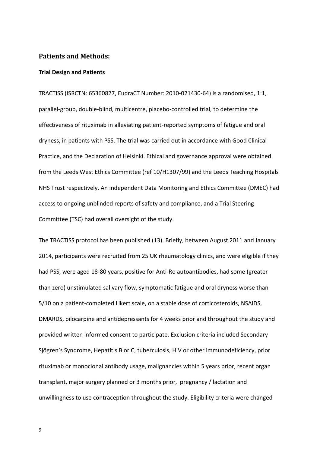#### **Patients and Methods:**

#### **Trial Design and Patients**

TRACTISS (ISRCTN: 65360827, EudraCT Number: 2010-021430-64) is a randomised, 1:1, parallel-group, double-blind, multicentre, placebo-controlled trial, to determine the effectiveness of rituximab in alleviating patient-reported symptoms of fatigue and oral dryness, in patients with PSS. The trial was carried out in accordance with Good Clinical Practice, and the Declaration of Helsinki. Ethical and governance approval were obtained from the Leeds West Ethics Committee (ref 10/H1307/99) and the Leeds Teaching Hospitals NHS Trust respectively. An independent Data Monitoring and Ethics Committee (DMEC) had access to ongoing unblinded reports of safety and compliance, and a Trial Steering Committee (TSC) had overall oversight of the study.

The TRACTISS protocol has been published (13). Briefly, between August 2011 and January 2014, participants were recruited from 25 UK rheumatology clinics, and were eligible if they had PSS, were aged 18-80 years, positive for Anti-Ro autoantibodies, had some (greater than zero) unstimulated salivary flow, symptomatic fatigue and oral dryness worse than 5/10 on a patient-completed Likert scale, on a stable dose of corticosteroids, NSAIDS, DMARDS, pilocarpine and antidepressants for 4 weeks prior and throughout the study and provided written informed consent to participate. Exclusion criteria included Secondary Sjögren's Syndrome, Hepatitis B or C, tuberculosis, HIV or other immunodeficiency, prior rituximab or monoclonal antibody usage, malignancies within 5 years prior, recent organ transplant, major surgery planned or 3 months prior, pregnancy / lactation and unwillingness to use contraception throughout the study. Eligibility criteria were changed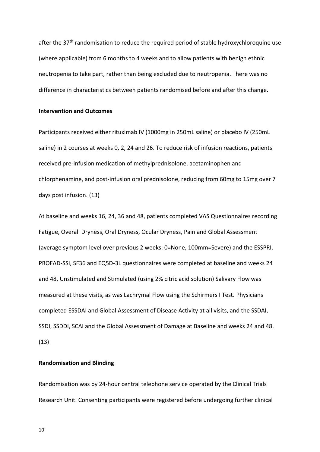after the 37<sup>th</sup> randomisation to reduce the required period of stable hydroxychloroquine use (where applicable) from 6 months to 4 weeks and to allow patients with benign ethnic neutropenia to take part, rather than being excluded due to neutropenia. There was no difference in characteristics between patients randomised before and after this change.

#### **Intervention and Outcomes**

Participants received either rituximab IV (1000mg in 250mL saline) or placebo IV (250mL saline) in 2 courses at weeks 0, 2, 24 and 26. To reduce risk of infusion reactions, patients received pre-infusion medication of methylprednisolone, acetaminophen and chlorphenamine, and post-infusion oral prednisolone, reducing from 60mg to 15mg over 7 days post infusion. (13)

At baseline and weeks 16, 24, 36 and 48, patients completed VAS Questionnaires recording Fatigue, Overall Dryness, Oral Dryness, Ocular Dryness, Pain and Global Assessment (average symptom level over previous 2 weeks: 0=None, 100mm=Severe) and the ESSPRI. PROFAD-SSI, SF36 and EQ5D-3L questionnaires were completed at baseline and weeks 24 and 48. Unstimulated and Stimulated (using 2% citric acid solution) Salivary Flow was measured at these visits, as was Lachrymal Flow using the Schirmers I Test. Physicians completed ESSDAI and Global Assessment of Disease Activity at all visits, and the SSDAI, SSDI, SSDDI, SCAI and the Global Assessment of Damage at Baseline and weeks 24 and 48. (13)

#### **Randomisation and Blinding**

Randomisation was by 24-hour central telephone service operated by the Clinical Trials Research Unit. Consenting participants were registered before undergoing further clinical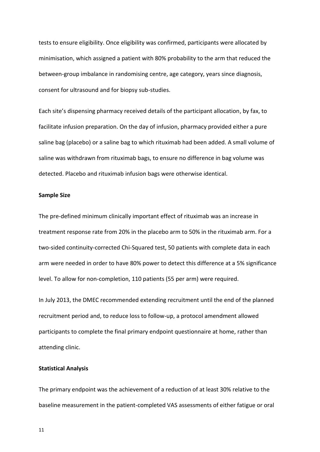tests to ensure eligibility. Once eligibility was confirmed, participants were allocated by minimisation, which assigned a patient with 80% probability to the arm that reduced the between-group imbalance in randomising centre, age category, years since diagnosis, consent for ultrasound and for biopsy sub-studies.

Each site's dispensing pharmacy received details of the participant allocation, by fax, to facilitate infusion preparation. On the day of infusion, pharmacy provided either a pure saline bag (placebo) or a saline bag to which rituximab had been added. A small volume of saline was withdrawn from rituximab bags, to ensure no difference in bag volume was detected. Placebo and rituximab infusion bags were otherwise identical.

#### **Sample Size**

The pre-defined minimum clinically important effect of rituximab was an increase in treatment response rate from 20% in the placebo arm to 50% in the rituximab arm. For a two-sided continuity-corrected Chi-Squared test, 50 patients with complete data in each arm were needed in order to have 80% power to detect this difference at a 5% significance level. To allow for non-completion, 110 patients (55 per arm) were required.

In July 2013, the DMEC recommended extending recruitment until the end of the planned recruitment period and, to reduce loss to follow-up, a protocol amendment allowed participants to complete the final primary endpoint questionnaire at home, rather than attending clinic.

#### **Statistical Analysis**

The primary endpoint was the achievement of a reduction of at least 30% relative to the baseline measurement in the patient-completed VAS assessments of either fatigue or oral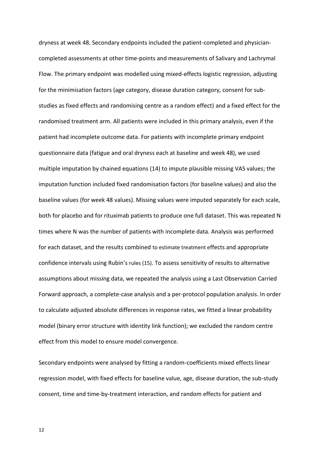dryness at week 48. Secondary endpoints included the patient-completed and physiciancompleted assessments at other time-points and measurements of Salivary and Lachrymal Flow. The primary endpoint was modelled using mixed-effects logistic regression, adjusting for the minimisation factors (age category, disease duration category, consent for substudies as fixed effects and randomising centre as a random effect) and a fixed effect for the randomised treatment arm. All patients were included in this primary analysis, even if the patient had incomplete outcome data. For patients with incomplete primary endpoint questionnaire data (fatigue and oral dryness each at baseline and week 48), we used multiple imputation by chained equations (14) to impute plausible missing VAS values; the imputation function included fixed randomisation factors (for baseline values) and also the baseline values (for week 48 values). Missing values were imputed separately for each scale, both for placebo and for rituximab patients to produce one full dataset. This was repeated N times where N was the number of patients with incomplete data. Analysis was performed for each dataset, and the results combined to estimate treatment effects and appropriate confidence intervals using Rubin's rules (15). To assess sensitivity of results to alternative assumptions about missing data, we repeated the analysis using a Last Observation Carried Forward approach, a complete-case analysis and a per-protocol population analysis. In order to calculate adjusted absolute differences in response rates, we fitted a linear probability model (binary error structure with identity link function); we excluded the random centre effect from this model to ensure model convergence.

Secondary endpoints were analysed by fitting a random-coefficients mixed effects linear regression model, with fixed effects for baseline value, age, disease duration, the sub-study consent, time and time-by-treatment interaction, and random effects for patient and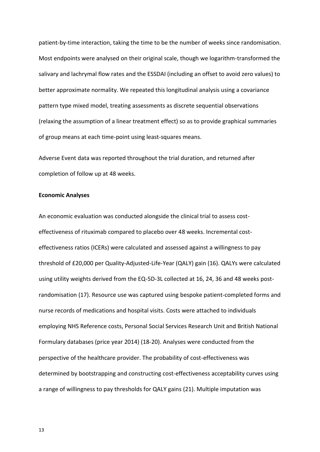patient-by-time interaction, taking the time to be the number of weeks since randomisation. Most endpoints were analysed on their original scale, though we logarithm-transformed the salivary and lachrymal flow rates and the ESSDAI (including an offset to avoid zero values) to better approximate normality. We repeated this longitudinal analysis using a covariance pattern type mixed model, treating assessments as discrete sequential observations (relaxing the assumption of a linear treatment effect) so as to provide graphical summaries of group means at each time-point using least-squares means.

Adverse Event data was reported throughout the trial duration, and returned after completion of follow up at 48 weeks.

#### **Economic Analyses**

An economic evaluation was conducted alongside the clinical trial to assess costeffectiveness of rituximab compared to placebo over 48 weeks. Incremental costeffectiveness ratios (ICERs) were calculated and assessed against a willingness to pay threshold of £20,000 per Quality-Adjusted-Life-Year (QALY) gain (16). QALYs were calculated using utility weights derived from the EQ-5D-3L collected at 16, 24, 36 and 48 weeks postrandomisation (17). Resource use was captured using bespoke patient-completed forms and nurse records of medications and hospital visits. Costs were attached to individuals employing NHS Reference costs, Personal Social Services Research Unit and British National Formulary databases (price year 2014) (18-20). Analyses were conducted from the perspective of the healthcare provider. The probability of cost-effectiveness was determined by bootstrapping and constructing cost-effectiveness acceptability curves using a range of willingness to pay thresholds for QALY gains (21). Multiple imputation was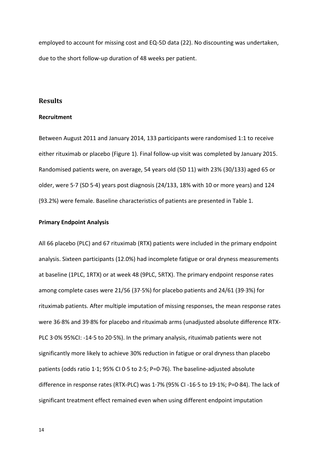employed to account for missing cost and EQ-5D data (22). No discounting was undertaken, due to the short follow-up duration of 48 weeks per patient.

#### **Results**

#### **Recruitment**

Between August 2011 and January 2014, 133 participants were randomised 1:1 to receive either rituximab or placebo (Figure 1). Final follow-up visit was completed by January 2015. Randomised patients were, on average, 54 years old (SD 11) with 23% (30/133) aged 65 or older, were 5·7 (SD 5·4) years post diagnosis (24/133, 18% with 10 or more years) and 124 (93.2%) were female. Baseline characteristics of patients are presented in Table 1.

#### **Primary Endpoint Analysis**

All 66 placebo (PLC) and 67 rituximab (RTX) patients were included in the primary endpoint analysis. Sixteen participants (12.0%) had incomplete fatigue or oral dryness measurements at baseline (1PLC, 1RTX) or at week 48 (9PLC, 5RTX). The primary endpoint response rates among complete cases were 21/56 (37·5%) for placebo patients and 24/61 (39·3%) for rituximab patients. After multiple imputation of missing responses, the mean response rates were 36·8% and 39·8% for placebo and rituximab arms (unadjusted absolute difference RTX-PLC 3·0% 95%CI: -14·5 to 20·5%). In the primary analysis, rituximab patients were not significantly more likely to achieve 30% reduction in fatigue or oral dryness than placebo patients (odds ratio 1·1; 95% CI 0·5 to 2·5; P=0·76). The baseline-adjusted absolute difference in response rates (RTX-PLC) was 1·7% (95% CI -16·5 to 19·1%; P=0·84). The lack of significant treatment effect remained even when using different endpoint imputation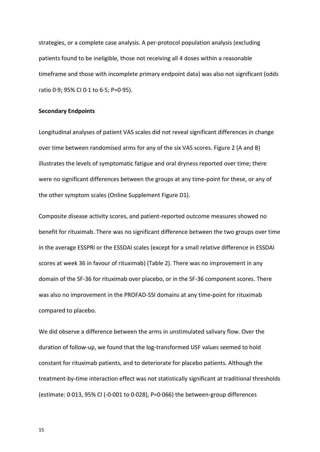strategies, or a complete case analysis. A per-protocol population analysis (excluding patients found to be ineligible, those not receiving all 4 doses within a reasonable timeframe and those with incomplete primary endpoint data) was also not significant (odds ratio 0·9; 95% CI 0·1 to 6·5; P=0·95).

#### **Secondary Endpoints**

Longitudinal analyses of patient VAS scales did not reveal significant differences in change over time between randomised arms for any of the six VAS scores. Figure 2 (A and B) illustrates the levels of symptomatic fatigue and oral dryness reported over time; there were no significant differences between the groups at any time-point for these, or any of the other symptom scales (Online Supplement Figure D1).

Composite disease activity scores, and patient-reported outcome measures showed no benefit for rituximab. There was no significant difference between the two groups over time in the average ESSPRI or the ESSDAI scales (except for a small relative difference in ESSDAI scores at week 36 in favour of rituximab) (Table 2). There was no improvement in any domain of the SF-36 for rituximab over placebo, or in the SF-36 component scores. There was also no improvement in the PROFAD-SSI domains at any time-point for rituximab compared to placebo.

We did observe a difference between the arms in unstimulated salivary flow. Over the duration of follow-up, we found that the log-transformed USF values seemed to hold constant for rituximab patients, and to deteriorate for placebo patients. Although the treatment-by-time interaction effect was not statistically significant at traditional thresholds (estimate: 0·013, 95% CI (-0·001 to 0·028), P=0·066) the between-group differences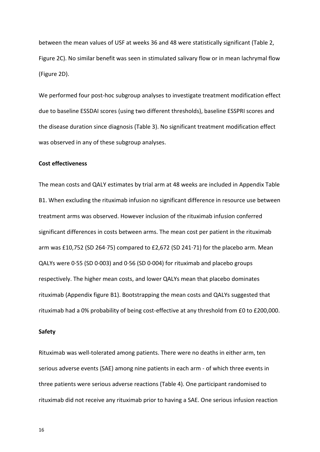between the mean values of USF at weeks 36 and 48 were statistically significant (Table 2, Figure 2C). No similar benefit was seen in stimulated salivary flow or in mean lachrymal flow (Figure 2D).

We performed four post-hoc subgroup analyses to investigate treatment modification effect due to baseline ESSDAI scores (using two different thresholds), baseline ESSPRI scores and the disease duration since diagnosis (Table 3). No significant treatment modification effect was observed in any of these subgroup analyses.

#### **Cost effectiveness**

The mean costs and QALY estimates by trial arm at 48 weeks are included in Appendix Table B1. When excluding the rituximab infusion no significant difference in resource use between treatment arms was observed. However inclusion of the rituximab infusion conferred significant differences in costs between arms. The mean cost per patient in the rituximab arm was £10,752 (SD 264·75) compared to £2,672 (SD 241·71) for the placebo arm. Mean QALYs were 0·55 (SD 0·003) and 0·56 (SD 0·004) for rituximab and placebo groups respectively. The higher mean costs, and lower QALYs mean that placebo dominates rituximab (Appendix figure B1). Bootstrapping the mean costs and QALYs suggested that rituximab had a 0% probability of being cost-effective at any threshold from £0 to £200,000.

#### **Safety**

Rituximab was well-tolerated among patients. There were no deaths in either arm, ten serious adverse events (SAE) among nine patients in each arm - of which three events in three patients were serious adverse reactions (Table 4). One participant randomised to rituximab did not receive any rituximab prior to having a SAE. One serious infusion reaction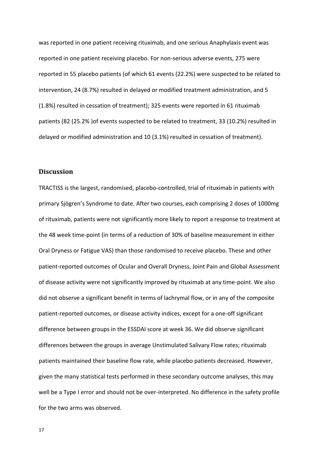was reported in one patient receiving rituximab, and one serious Anaphylaxis event was reported in one patient receiving placebo. For non-serious adverse events, 275 were reported in 55 placebo patients (of which 61 events (22.2%) were suspected to be related to intervention, 24 (8.7%) resulted in delayed or modified treatment administration, and 5 (1.8%) resulted in cessation of treatment); 325 events were reported in 61 rituximab patients (82 (25.2% )of events suspected to be related to treatment, 33 (10.2%) resulted in delayed or modified administration and 10 (3.1%) resulted in cessation of treatment).

#### **Discussion**

TRACTISS is the largest, randomised, placebo-controlled, trial of rituximab in patients with primary Sjögren's Syndrome to date. After two courses, each comprising 2 doses of 1000mg of rituximab, patients were not significantly more likely to report a response to treatment at the 48 week time-point (in terms of a reduction of 30% of baseline measurement in either Oral Dryness or Fatigue VAS) than those randomised to receive placebo. These and other patient-reported outcomes of Ocular and Overall Dryness, Joint Pain and Global Assessment of disease activity were not significantly improved by rituximab at any time-point. We also did not observe a significant benefit in terms of lachrymal flow, or in any of the composite patient-reported outcomes, or disease activity indices, except for a one-off significant difference between groups in the ESSDAI score at week 36. We did observe significant differences between the groups in average Unstimulated Salivary Flow rates; rituximab patients maintained their baseline flow rate, while placebo patients decreased. However, given the many statistical tests performed in these secondary outcome analyses, this may well be a Type I error and should not be over-interpreted. No difference in the safety profile for the two arms was observed.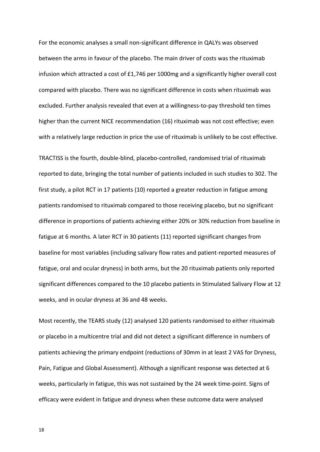For the economic analyses a small non-significant difference in QALYs was observed between the arms in favour of the placebo. The main driver of costs was the rituximab infusion which attracted a cost of £1,746 per 1000mg and a significantly higher overall cost compared with placebo. There was no significant difference in costs when rituximab was excluded. Further analysis revealed that even at a willingness-to-pay threshold ten times higher than the current NICE recommendation (16) rituximab was not cost effective; even with a relatively large reduction in price the use of rituximab is unlikely to be cost effective.

TRACTISS is the fourth, double-blind, placebo-controlled, randomised trial of rituximab reported to date, bringing the total number of patients included in such studies to 302. The first study, a pilot RCT in 17 patients (10) reported a greater reduction in fatigue among patients randomised to rituximab compared to those receiving placebo, but no significant difference in proportions of patients achieving either 20% or 30% reduction from baseline in fatigue at 6 months. A later RCT in 30 patients (11) reported significant changes from baseline for most variables (including salivary flow rates and patient-reported measures of fatigue, oral and ocular dryness) in both arms, but the 20 rituximab patients only reported significant differences compared to the 10 placebo patients in Stimulated Salivary Flow at 12 weeks, and in ocular dryness at 36 and 48 weeks.

Most recently, the TEARS study (12) analysed 120 patients randomised to either rituximab or placebo in a multicentre trial and did not detect a significant difference in numbers of patients achieving the primary endpoint (reductions of 30mm in at least 2 VAS for Dryness, Pain, Fatigue and Global Assessment). Although a significant response was detected at 6 weeks, particularly in fatigue, this was not sustained by the 24 week time-point. Signs of efficacy were evident in fatigue and dryness when these outcome data were analysed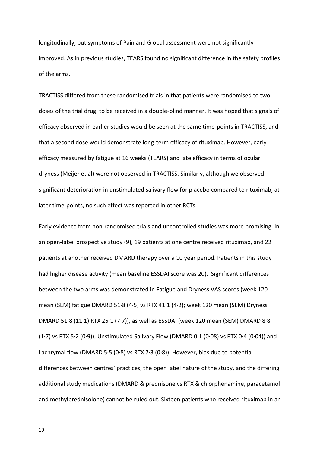longitudinally, but symptoms of Pain and Global assessment were not significantly improved. As in previous studies, TEARS found no significant difference in the safety profiles of the arms.

TRACTISS differed from these randomised trials in that patients were randomised to two doses of the trial drug, to be received in a double-blind manner. It was hoped that signals of efficacy observed in earlier studies would be seen at the same time-points in TRACTISS, and that a second dose would demonstrate long-term efficacy of rituximab. However, early efficacy measured by fatigue at 16 weeks (TEARS) and late efficacy in terms of ocular dryness (Meijer et al) were not observed in TRACTISS. Similarly, although we observed significant deterioration in unstimulated salivary flow for placebo compared to rituximab, at later time-points, no such effect was reported in other RCTs.

Early evidence from non-randomised trials and uncontrolled studies was more promising. In an open-label prospective study (9), 19 patients at one centre received rituximab, and 22 patients at another received DMARD therapy over a 10 year period. Patients in this study had higher disease activity (mean baseline ESSDAI score was 20). Significant differences between the two arms was demonstrated in Fatigue and Dryness VAS scores (week 120 mean (SEM) fatigue DMARD 51·8 (4·5) vs RTX 41·1 (4·2); week 120 mean (SEM) Dryness DMARD 51·8 (11·1) RTX 25·1 (7·7)), as well as ESSDAI (week 120 mean (SEM) DMARD 8·8 (1·7) vs RTX 5·2 (0·9)), Unstimulated Salivary Flow (DMARD 0·1 (0·08) vs RTX 0·4 (0·04)) and Lachrymal flow (DMARD 5·5 (0·8) vs RTX 7·3 (0·8)). However, bias due to potential differences between centres' practices, the open label nature of the study, and the differing additional study medications (DMARD & prednisone vs RTX & chlorphenamine, paracetamol and methylprednisolone) cannot be ruled out. Sixteen patients who received rituximab in an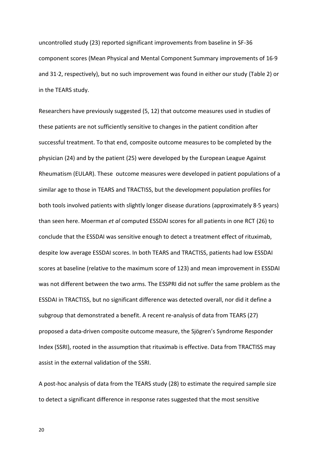uncontrolled study (23) reported significant improvements from baseline in SF-36 component scores (Mean Physical and Mental Component Summary improvements of 16·9 and 31·2, respectively), but no such improvement was found in either our study (Table 2) or in the TEARS study.

Researchers have previously suggested (5, 12) that outcome measures used in studies of these patients are not sufficiently sensitive to changes in the patient condition after successful treatment. To that end, composite outcome measures to be completed by the physician (24) and by the patient (25) were developed by the European League Against Rheumatism (EULAR). These outcome measures were developed in patient populations of a similar age to those in TEARS and TRACTISS, but the development population profiles for both tools involved patients with slightly longer disease durations (approximately 8·5 years) than seen here. Moerman *et al* computed ESSDAI scores for all patients in one RCT (26) to conclude that the ESSDAI was sensitive enough to detect a treatment effect of rituximab, despite low average ESSDAI scores. In both TEARS and TRACTISS, patients had low ESSDAI scores at baseline (relative to the maximum score of 123) and mean improvement in ESSDAI was not different between the two arms. The ESSPRI did not suffer the same problem as the ESSDAI in TRACTISS, but no significant difference was detected overall, nor did it define a subgroup that demonstrated a benefit. A recent re-analysis of data from TEARS (27) proposed a data-driven composite outcome measure, the Sjögren's Syndrome Responder Index (SSRI), rooted in the assumption that rituximab is effective. Data from TRACTISS may assist in the external validation of the SSRI.

A post-hoc analysis of data from the TEARS study (28) to estimate the required sample size to detect a significant difference in response rates suggested that the most sensitive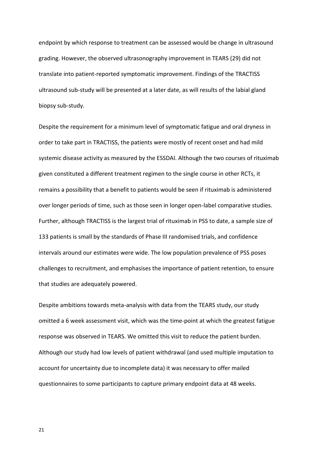endpoint by which response to treatment can be assessed would be change in ultrasound grading. However, the observed ultrasonography improvement in TEARS (29) did not translate into patient-reported symptomatic improvement. Findings of the TRACTISS ultrasound sub-study will be presented at a later date, as will results of the labial gland biopsy sub-study.

Despite the requirement for a minimum level of symptomatic fatigue and oral dryness in order to take part in TRACTISS, the patients were mostly of recent onset and had mild systemic disease activity as measured by the ESSDAI. Although the two courses of rituximab given constituted a different treatment regimen to the single course in other RCTs, it remains a possibility that a benefit to patients would be seen if rituximab is administered over longer periods of time, such as those seen in longer open-label comparative studies. Further, although TRACTISS is the largest trial of rituximab in PSS to date, a sample size of 133 patients is small by the standards of Phase III randomised trials, and confidence intervals around our estimates were wide. The low population prevalence of PSS poses challenges to recruitment, and emphasises the importance of patient retention, to ensure that studies are adequately powered.

Despite ambitions towards meta-analysis with data from the TEARS study, our study omitted a 6 week assessment visit, which was the time-point at which the greatest fatigue response was observed in TEARS. We omitted this visit to reduce the patient burden. Although our study had low levels of patient withdrawal (and used multiple imputation to account for uncertainty due to incomplete data) it was necessary to offer mailed questionnaires to some participants to capture primary endpoint data at 48 weeks.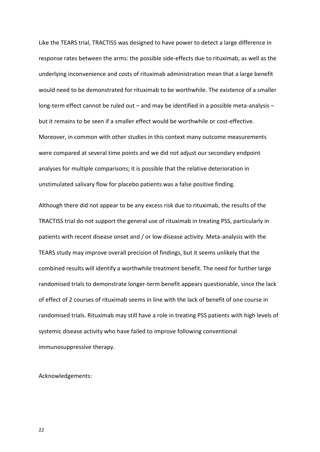Like the TEARS trial, TRACTISS was designed to have power to detect a large difference in response rates between the arms: the possible side-effects due to rituximab, as well as the underlying inconvenience and costs of rituximab administration mean that a large benefit would need to be demonstrated for rituximab to be worthwhile. The existence of a smaller long-term effect cannot be ruled out – and may be identified in a possible meta-analysis – but it remains to be seen if a smaller effect would be worthwhile or cost-effective. Moreover, in common with other studies in this context many outcome measurements were compared at several time points and we did not adjust our secondary endpoint analyses for multiple comparisons; it is possible that the relative deterioration in unstimulated salivary flow for placebo patients was a false positive finding.

Although there did not appear to be any excess risk due to rituximab, the results of the TRACTISS trial do not support the general use of rituximab in treating PSS, particularly in patients with recent disease onset and / or low disease activity. Meta-analysis with the TEARS study may improve overall precision of findings, but it seems unlikely that the combined results will identify a worthwhile treatment benefit. The need for further large randomised trials to demonstrate longer-term benefit appears questionable, since the lack of effect of 2 courses of rituximab seems in line with the lack of benefit of one course in randomised trials. Rituximab may still have a role in treating PSS patients with high levels of systemic disease activity who have failed to improve following conventional immunosuppressive therapy.

Acknowledgements: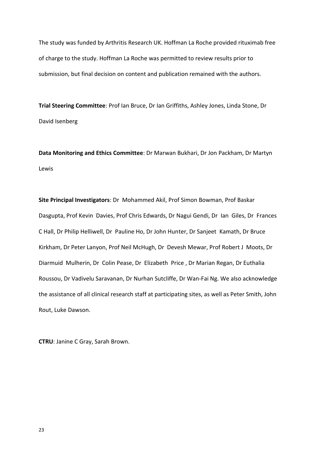The study was funded by Arthritis Research UK. Hoffman La Roche provided rituximab free of charge to the study. Hoffman La Roche was permitted to review results prior to submission, but final decision on content and publication remained with the authors.

**Trial Steering Committee**: Prof Ian Bruce, Dr Ian Griffiths, Ashley Jones, Linda Stone, Dr David Isenberg

**Data Monitoring and Ethics Committee**: Dr Marwan Bukhari, Dr Jon Packham, Dr Martyn Lewis

**Site Principal Investigators**: Dr Mohammed Akil, Prof Simon Bowman, Prof Baskar Dasgupta, Prof Kevin Davies, Prof Chris Edwards, Dr Nagui Gendi, Dr Ian Giles, Dr Frances C Hall, Dr Philip Helliwell, Dr Pauline Ho, Dr John Hunter, Dr Sanjeet Kamath, Dr Bruce Kirkham, Dr Peter Lanyon, Prof Neil McHugh, Dr Devesh Mewar, Prof Robert J Moots, Dr Diarmuid Mulherin, Dr Colin Pease, Dr Elizabeth Price , Dr Marian Regan, Dr Euthalia Roussou, Dr Vadivelu Saravanan, Dr Nurhan Sutcliffe, Dr Wan-Fai Ng. We also acknowledge the assistance of all clinical research staff at participating sites, as well as Peter Smith, John Rout, Luke Dawson.

**CTRU**: Janine C Gray, Sarah Brown.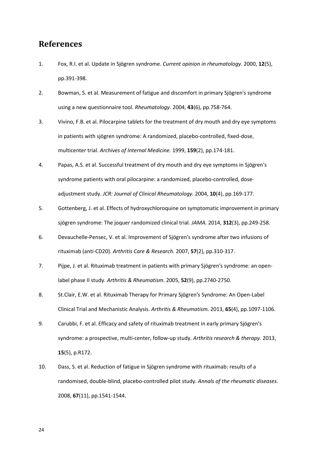## **References**

- 1. Fox, R.I. et al. Update in Sjögren syndrome. *Current opinion in rheumatology.* 2000, **12**(5), pp.391-398.
- 2. Bowman, S. et al. Measurement of fatigue and discomfort in primary Sjögren's syndrome using a new questionnaire tool. *Rheumatology.* 2004, **43**(6), pp.758-764.
- 3. Vivino, F.B. et al. Pilocarpine tablets for the treatment of dry mouth and dry eye symptoms in patients with sjögren syndrome: A randomized, placebo-controlled, fixed-dose, multicenter trial. *Archives of Internal Medicine.* 1999, **159**(2), pp.174-181.
- 4. Papas, A.S. et al. Successful treatment of dry mouth and dry eye symptoms in Sjögren's syndrome patients with oral pilocarpine: a randomized, placebo-controlled, doseadjustment study. *JCR: Journal of Clinical Rheumatology.* 2004, **10**(4), pp.169-177.
- 5. Gottenberg, J. et al. Effects of hydroxychloroquine on symptomatic improvement in primary sjögren syndrome: The joquer randomized clinical trial. *JAMA.* 2014, **312**(3), pp.249-258.
- 6. Devauchelle‐Pensec, V. et al. Improvement of Sjögren's syndrome after two infusions of rituximab (anti‐CD20). *Arthritis Care & Research.* 2007, **57**(2), pp.310-317.
- 7. Pijpe, J. et al. Rituximab treatment in patients with primary Sjögren's syndrome: an open‐ label phase II study. *Arthritis & Rheumatism.* 2005, **52**(9), pp.2740-2750.
- 8. St.Clair, E.W. et al. Rituximab Therapy for Primary Sjögren's Syndrome: An Open-Label Clinical Trial and Mechanistic Analysis. *Arthritis & Rheumatism.* 2013, **65**(4), pp.1097-1106.
- 9. Carubbi, F. et al. Efficacy and safety of rituximab treatment in early primary Sjögren's syndrome: a prospective, multi-center, follow-up study. *Arthritis research & therapy.* 2013, **15**(5), p.R172.
- 10. Dass, S. et al. Reduction of fatigue in Sjögren syndrome with rituximab: results of a randomised, double-blind, placebo-controlled pilot study. *Annals of the rheumatic diseases.* 2008, **67**(11), pp.1541-1544.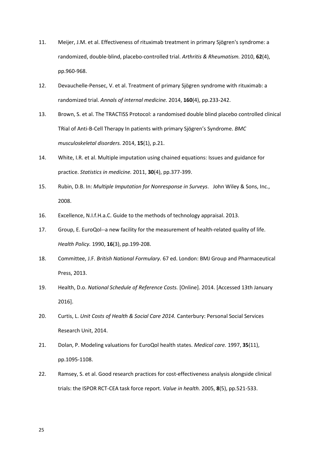- 11. Meijer, J.M. et al. Effectiveness of rituximab treatment in primary Sjögren's syndrome: a randomized, double‐blind, placebo‐controlled trial. *Arthritis & Rheumatism.* 2010, **62**(4), pp.960-968.
- 12. Devauchelle-Pensec, V. et al. Treatment of primary Sjögren syndrome with rituximab: a randomized trial. *Annals of internal medicine.* 2014, **160**(4), pp.233-242.
- 13. Brown, S. et al. The TRACTISS Protocol: a randomised double blind placebo controlled clinical TRial of Anti-B-Cell Therapy In patients with primary Sjögren's Syndrome. *BMC musculoskeletal disorders.* 2014, **15**(1), p.21.
- 14. White, I.R. et al. Multiple imputation using chained equations: Issues and guidance for practice. *Statistics in medicine.* 2011, **30**(4), pp.377-399.
- 15. Rubin, D.B. In: *Multiple Imputation for Nonresponse in Surveys*. John Wiley & Sons, Inc., 2008.
- 16. Excellence, N.I.f.H.a.C. Guide to the methods of technology appraisal. 2013.
- 17. Group, E. EuroQol--a new facility for the measurement of health-related quality of life. *Health Policy.* 1990, **16**(3), pp.199-208.
- 18. Committee, J.F. *British National Formulary.* 67 ed. London: BMJ Group and Pharmaceutical Press, 2013.
- 19. Health, D.o. *National Schedule of Reference Costs.* [Online]. 2014. [Accessed 13th January 2016].
- 20. Curtis, L. *Unit Costs of Health & Social Care 2014.* Canterbury: Personal Social Services Research Unit, 2014.
- 21. Dolan, P. Modeling valuations for EuroQol health states. *Medical care.* 1997, **35**(11), pp.1095-1108.
- 22. Ramsey, S. et al. Good research practices for cost-effectiveness analysis alongside clinical trials: the ISPOR RCT‐CEA task force report. *Value in health.* 2005, **8**(5), pp.521-533.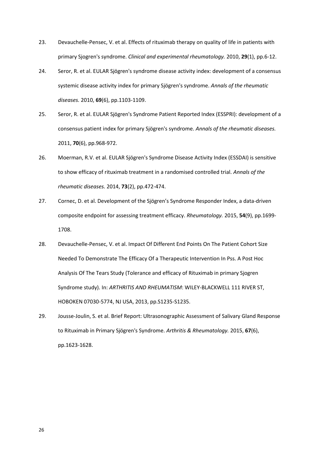- 23. Devauchelle-Pensec, V. et al. Effects of rituximab therapy on quality of life in patients with primary Sjogren's syndrome. *Clinical and experimental rheumatology.* 2010, **29**(1), pp.6-12.
- 24. Seror, R. et al. EULAR Sjögren's syndrome disease activity index: development of a consensus systemic disease activity index for primary Sjögren's syndrome. *Annals of the rheumatic diseases.* 2010, **69**(6), pp.1103-1109.
- 25. Seror, R. et al. EULAR Sjögren's Syndrome Patient Reported Index (ESSPRI): development of a consensus patient index for primary Sjögren's syndrome. *Annals of the rheumatic diseases.* 2011, **70**(6), pp.968-972.
- 26. Moerman, R.V. et al. EULAR Sjögren's Syndrome Disease Activity Index (ESSDAI) is sensitive to show efficacy of rituximab treatment in a randomised controlled trial. *Annals of the rheumatic diseases.* 2014, **73**(2), pp.472-474.
- 27. Cornec, D. et al. Development of the Sjögren's Syndrome Responder Index, a data-driven composite endpoint for assessing treatment efficacy. *Rheumatology.* 2015, **54**(9), pp.1699- 1708.
- 28. Devauchelle-Pensec, V. et al. Impact Of Different End Points On The Patient Cohort Size Needed To Demonstrate The Efficacy Of a Therapeutic Intervention In Pss. A Post Hoc Analysis Of The Tears Study (Tolerance and efficacy of Rituximab in primary Sjogren Syndrome study). In: *ARTHRITIS AND RHEUMATISM*: WILEY-BLACKWELL 111 RIVER ST, HOBOKEN 07030-5774, NJ USA, 2013, pp.S1235-S1235.
- 29. Jousse-Joulin, S. et al. Brief Report: Ultrasonographic Assessment of Salivary Gland Response to Rituximab in Primary Sjögren's Syndrome. *Arthritis & Rheumatology.* 2015, **67**(6), pp.1623-1628.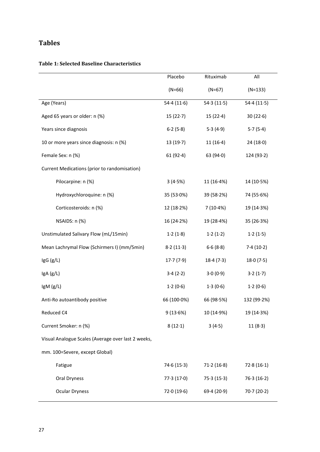## **Tables**

#### **Table 1: Selected Baseline Characteristics**

|                                                    | Placebo     | Rituximab   | All         |
|----------------------------------------------------|-------------|-------------|-------------|
|                                                    | $(N=66)$    | $(N=67)$    | $(N=133)$   |
| Age (Years)                                        | 54.4(11.6)  | 54.3(11.5)  | 54.4(11.5)  |
| Aged 65 years or older: n (%)                      | 15(22.7)    | 15(22.4)    | 30(22.6)    |
| Years since diagnosis                              | 6.2(5.8)    | 5.3(4.9)    | 5.7(5.4)    |
| 10 or more years since diagnosis: n (%)            | 13(19.7)    | 11(16.4)    | 24(18.0)    |
| Female Sex: n (%)                                  | 61(92.4)    | 63 $(94.0)$ | 124(93.2)   |
| Current Medications (prior to randomisation)       |             |             |             |
| Pilocarpine: n (%)                                 | 3(4.5%)     | 11(16.4%)   | 14 (10.5%)  |
| Hydroxychloroquine: n (%)                          | 35 (53.0%)  | 39(58.2%)   | 74 (55.6%)  |
| Corticosteroids: n (%)                             | 12(18.2%)   | 7(10.4%)    | 19 (14.3%)  |
| NSAIDS: n (%)                                      | 16(24.2%)   | 19 (28.4%)  | 35 (26.3%)  |
| Unstimulated Salivary Flow (mL/15min)              | 1.2(1.8)    | 1.2(1.2)    | 1.2(1.5)    |
| Mean Lachrymal Flow (Schirmers I) (mm/5min)        | 8.2(11.3)   | 6.6(8.8)    | 7.4(10.2)   |
| IgG (g/L)                                          | 17.7(7.9)   | 18.4(7.3)   | 18.0(7.5)   |
| lgA(g/L)                                           | 3.4(2.2)    | 3.0(0.9)    | 3.2(1.7)    |
| IgM (g/L)                                          | 1.2(0.6)    | 1.3(0.6)    | 1.2(0.6)    |
| Anti-Ro autoantibody positive                      | 66 (100.0%) | 66 (98.5%)  | 132 (99.2%) |
| Reduced C4                                         | 9(13.6%)    | 10 (14.9%)  | 19 (14.3%)  |
| Current Smoker: n (%)                              | 8(12.1)     | 3(4.5)      | 11(8.3)     |
| Visual Analogue Scales (Average over last 2 weeks, |             |             |             |
| mm. 100=Severe, except Global)                     |             |             |             |
| Fatigue                                            | 74.6(15.3)  | 71.2(16.8)  | 72.8(16.1)  |
| Oral Dryness                                       | 77.3(17.0)  | 75.3(15.3)  | 76.3(16.2)  |
| <b>Ocular Dryness</b>                              | 72.0(19.6)  | 69.4(20.9)  | 70.7(20.2)  |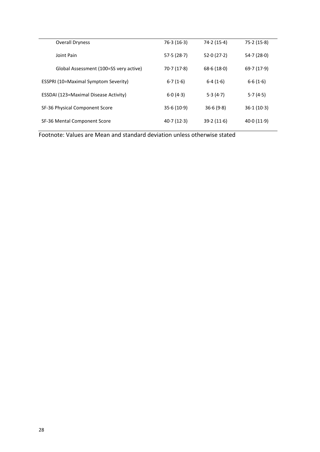| <b>Overall Dryness</b>                       | 76.3(16.3) | 74.2(15.4) | 75.2(15.8) |
|----------------------------------------------|------------|------------|------------|
| Joint Pain                                   | 57.5(28.7) | 52.0(27.2) | 54.7(28.0) |
| Global Assessment (100=SS very active)       | 70.7(17.8) | 68.6(18.0) | 69.7(17.9) |
| <b>ESSPRI (10=Maximal Symptom Severity)</b>  | 6.7(1.6)   | 6.4(1.6)   | 6.6(1.6)   |
| <b>ESSDAI (123=Maximal Disease Activity)</b> | 6.0(4.3)   | 5.3(4.7)   | 5.7(4.5)   |
| SF-36 Physical Component Score               | 35.6(10.9) | 36.6(9.8)  | 36.1(10.3) |
| SF-36 Mental Component Score                 | 40.7(12.3) | 39.2(11.6) | 40.0(11.9) |

Footnote: Values are Mean and standard deviation unless otherwise stated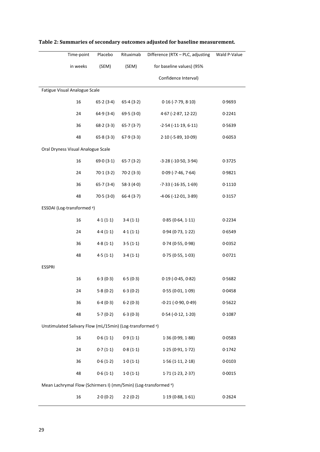|                               | Time-point                                                | Placebo   | Rituximab                          | Difference (RTX - PLC, adjusting                                            | Wald P-Value |
|-------------------------------|-----------------------------------------------------------|-----------|------------------------------------|-----------------------------------------------------------------------------|--------------|
|                               | in weeks                                                  | (SEM)     | for baseline values) (95%<br>(SEM) |                                                                             |              |
|                               |                                                           |           |                                    | Confidence Interval)                                                        |              |
| Fatigue Visual Analogue Scale |                                                           |           |                                    |                                                                             |              |
|                               | 16                                                        | 65.2(3.4) | 65.4(3.2)                          | $0.16$ (-7 $.79$ , $8.10$ )                                                 | 0.9693       |
|                               | 24                                                        | 64.9(3.4) | 69.5(3.0)                          | $4.67$ (-2.87, 12.22)                                                       | 0.2241       |
|                               | 36                                                        | 68.2(3.3) | 65.7(3.7)                          | $-2.54$ ( $-11.19$ , $6.11$ )                                               | 0.5639       |
|                               | 48                                                        | 65.8(3.3) | 67.9(3.3)                          | $2.10$ (-5.89, $10.09$ )                                                    | 0.6053       |
|                               | Oral Dryness Visual Analogue Scale                        |           |                                    |                                                                             |              |
|                               | 16                                                        | 69.0(3.1) | 65.7(3.2)                          | $-3.28$ ( $-10.50$ , $3.94$ )                                               | 0.3725       |
|                               | 24                                                        | 70.1(3.2) | 70.2(3.3)                          | $0.09$ (-7.46, 7.64)                                                        | 0.9821       |
|                               | 36                                                        | 65.7(3.4) | 58.3(4.0)                          | $-7.33$ ( $-16.35$ , $1.69$ )                                               | 0.1110       |
|                               | 48                                                        | 70.5(3.0) | 66.4(3.7)                          | $-4.06$ ( $-12.01$ , $3.89$ )                                               | 0.3157       |
|                               | ESSDAI (Log-transformed <sup>a</sup> )                    |           |                                    |                                                                             |              |
|                               | 16                                                        | 4.1(1.1)  | 3.4(1.1)                           | 0.85(0.64, 1.11)                                                            | 0.2234       |
|                               | 24                                                        | 4.4(1.1)  | 4.1(1.1)                           | 0.94(0.73, 1.22)                                                            | 0.6549       |
|                               | 36                                                        | 4.8(1.1)  | 3.5(1.1)                           | 0.74(0.55, 0.98)                                                            | 0.0352       |
|                               | 48                                                        | 4.5(1.1)  | 3.4(1.1)                           | 0.75(0.55, 1.03)                                                            | 0.0721       |
| <b>ESSPRI</b>                 |                                                           |           |                                    |                                                                             |              |
|                               | 16                                                        | 6.3(0.3)  | 6.5(0.3)                           | $0.19(-0.45, 0.82)$                                                         | 0.5682       |
|                               | 24                                                        | 5.8(0.2)  | 6.3(0.2)                           | 0.55(0.01, 1.09)                                                            | 0.0458       |
|                               | 36                                                        | 6.4(0.3)  | 6.2(0.3)                           | $-0.21$ ( $-0.90$ , $0.49$ )                                                | 0.5622       |
|                               | 48                                                        | 5.7(0.2)  | 6.3(0.3)                           | $0.54 (-0.12, 1.20)$                                                        | 0.1087       |
|                               | Unstimulated Salivary Flow (mL/15min) (Log-transformed a) |           |                                    |                                                                             |              |
|                               | 16                                                        | 0.6(1.1)  | 0.9(1.1)                           | 1.36(0.99, 1.88)                                                            | 0.0583       |
|                               | 24                                                        | 0.7(1.1)  | 0.8(1.1)                           | 1.25(0.91, 1.72)                                                            | 0.1742       |
|                               | 36                                                        | 0.6(1.2)  | 1.0(1.1)                           | 1.56(1.11, 2.18)                                                            | 0.0103       |
|                               | 48                                                        | 0.6(1.1)  | 1.0(1.1)                           | 1.71(1.23, 2.37)                                                            | 0.0015       |
|                               |                                                           |           |                                    | Mean Lachrymal Flow (Schirmers I) (mm/5min) (Log-transformed <sup>a</sup> ) |              |
|                               | 16                                                        | 2.0(0.2)  | 2.2(0.2)                           | 1.19(0.88, 1.61)                                                            | 0.2624       |

## **Table 2: Summaries of secondary outcomes adjusted for baseline measurement.**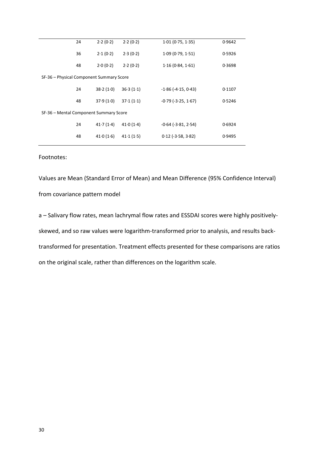| 24 | 2.2(0.2)                                 | 2.2(0.2)  | 1.01(0.75, 1.35)             | 0.9642 |
|----|------------------------------------------|-----------|------------------------------|--------|
| 36 | 2.1(0.2)                                 | 2.3(0.2)  | 1.09(0.79, 1.51)             | 0.5926 |
| 48 | 2.0(0.2)                                 | 2.2(0.2)  | 1.16(0.84, 1.61)             | 0.3698 |
|    | SF-36 – Physical Component Summary Score |           |                              |        |
| 24 | 38.2(1.0)                                | 36.3(1.1) | $-1.86$ ( $-4.15$ , $0.43$ ) | 0.1107 |
| 48 | 37.9(1.0)                                | 37.1(1.1) | $-0.79$ ( $-3.25$ , $1.67$ ) | 0.5246 |
|    | SF-36 - Mental Component Summary Score   |           |                              |        |
| 24 | 41.7(1.4)                                | 41.0(1.4) | $-0.64$ ( $-3.81$ , $2.54$ ) | 0.6924 |
| 48 | 41.0(1.6)                                | 41.1(1.5) | $0.12$ (-3.58, 3.82)         | 0.9495 |
|    |                                          |           |                              |        |

Footnotes:

Values are Mean (Standard Error of Mean) and Mean Difference (95% Confidence Interval) from covariance pattern model

a – Salivary flow rates, mean lachrymal flow rates and ESSDAI scores were highly positivelyskewed, and so raw values were logarithm-transformed prior to analysis, and results backtransformed for presentation. Treatment effects presented for these comparisons are ratios on the original scale, rather than differences on the logarithm scale.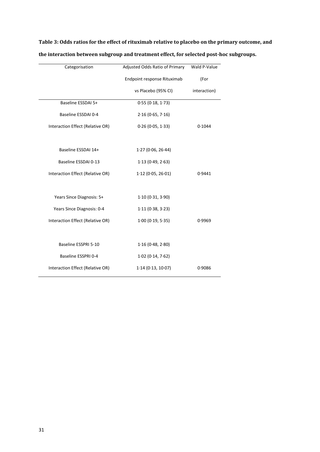| Categorisation                   | Adjusted Odds Ratio of Primary | Wald P-Value |
|----------------------------------|--------------------------------|--------------|
|                                  | Endpoint response Rituximab    | (For         |
|                                  | vs Placebo (95% CI)            | interaction) |
| Baseline ESSDAI 5+               | 0.55(0.18, 1.73)               |              |
| Baseline ESSDAI 0-4              | 2.16(0.65, 7.16)               |              |
| Interaction Effect (Relative OR) | 0.26(0.05, 1.33)               | 0.1044       |
|                                  |                                |              |
| Baseline ESSDAI 14+              | 1.27(0.06, 26.44)              |              |
| Baseline ESSDAI 0-13             | 1.13(0.49, 2.63)               |              |
| Interaction Effect (Relative OR) | 1.12(0.05, 26.01)              | 0.9441       |
|                                  |                                |              |
| Years Since Diagnosis: 5+        | 1.10(0.31, 3.90)               |              |
| Years Since Diagnosis: 0-4       | 1.11(0.38, 3.23)               |              |
| Interaction Effect (Relative OR) | 1.00(0.19, 5.35)               | 0.9969       |
|                                  |                                |              |
| Baseline ESSPRI 5-10             | 1.16(0.48, 2.80)               |              |
| Baseline ESSPRI 0-4              | $1.02$ (0.14, 7.62)            |              |
| Interaction Effect (Relative OR) | 1.14(0.13, 10.07)              | 0.9086       |

**Table 3: Odds ratios for the effect of rituximab relative to placebo on the primary outcome, and the interaction between subgroup and treatment effect, for selected post-hoc subgroups.**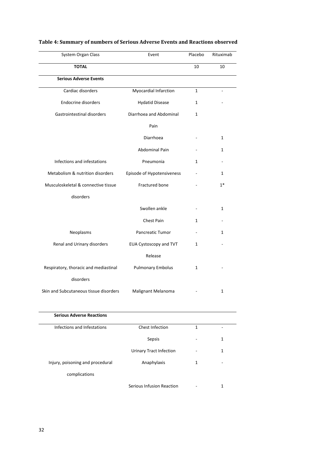| System Organ Class                     | Event                         | Placebo      | Rituximab    |
|----------------------------------------|-------------------------------|--------------|--------------|
| <b>TOTAL</b>                           |                               | 10           | 10           |
| <b>Serious Adverse Events</b>          |                               |              |              |
| Cardiac disorders                      | Myocardial Infarction         | $\mathbf{1}$ |              |
| <b>Endocrine disorders</b>             | <b>Hydatid Disease</b>        | $\mathbf{1}$ |              |
| Gastrointestinal disorders             | Diarrhoea and Abdominal       | 1            |              |
|                                        | Pain                          |              |              |
|                                        | Diarrhoea                     |              | 1            |
|                                        | <b>Abdominal Pain</b>         |              | 1            |
| Infections and infestations            | Pneumonia                     | 1            |              |
| Metabolism & nutrition disorders       | Episode of Hypotensiveness    |              | $\mathbf{1}$ |
| Musculoskeletal & connective tissue    | Fractured bone                |              | $1*$         |
| disorders                              |                               |              |              |
|                                        | Swollen ankle                 |              | $\mathbf{1}$ |
|                                        | Chest Pain                    | 1            |              |
| Neoplasms                              | <b>Pancreatic Tumor</b>       |              | $\mathbf{1}$ |
| Renal and Urinary disorders            | <b>EUA Cystoscopy and TVT</b> | $\mathbf{1}$ |              |
|                                        | Release                       |              |              |
| Respiratory, thoracic and mediastinal  | <b>Pulmonary Embolus</b>      | 1            |              |
| disorders                              |                               |              |              |
| Skin and Subcutaneous tissue disorders | Malignant Melanoma            |              | 1            |

## **Table 4: Summary of numbers of Serious Adverse Events and Reactions observed**

| <b>Serious Adverse Reactions</b> |                           |   |   |
|----------------------------------|---------------------------|---|---|
| Infections and Infestations      | Chest Infection           | 1 |   |
|                                  | Sepsis                    |   | 1 |
|                                  | Urinary Tract Infection   |   | 1 |
| Injury, poisoning and procedural | Anaphylaxis               | 1 | ۰ |
| complications                    |                           |   |   |
|                                  | Serious Infusion Reaction |   | 1 |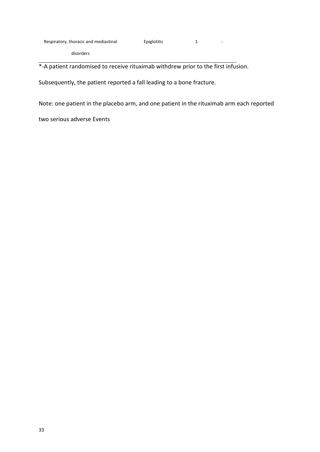disorders

\*-A patient randomised to receive rituximab withdrew prior to the first infusion.

Subsequently, the patient reported a fall leading to a bone fracture.

Note: one patient in the placebo arm, and one patient in the rituximab arm each reported

two serious adverse Events